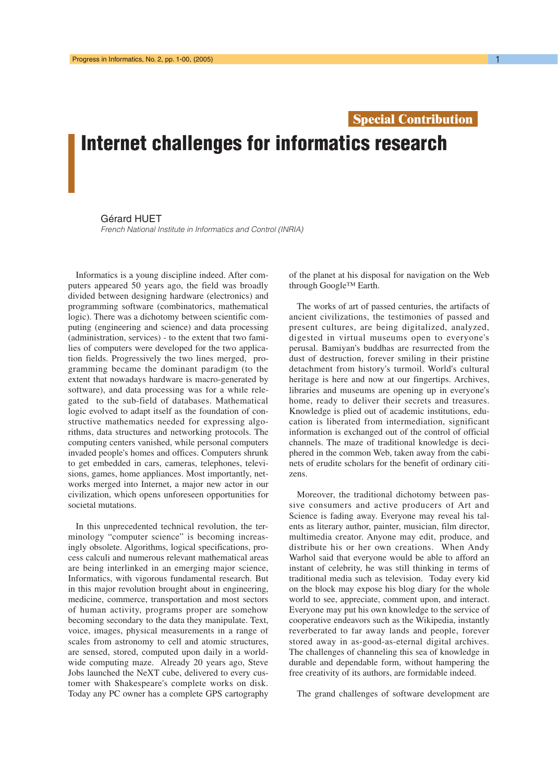## **Special Contribution**

## Internet challenges for informatics research

## Gérard HUET

French National Institute in Informatics and Control (INRIA)

Informatics is a young discipline indeed. After computers appeared 50 years ago, the field was broadly divided between designing hardware (electronics) and programming software (combinatorics, mathematical logic). There was a dichotomy between scientific computing (engineering and science) and data processing (administration, services) - to the extent that two families of computers were developed for the two application fields. Progressively the two lines merged, programming became the dominant paradigm (to the extent that nowadays hardware is macro-generated by software), and data processing was for a while relegated to the sub-field of databases. Mathematical logic evolved to adapt itself as the foundation of constructive mathematics needed for expressing algorithms, data structures and networking protocols. The computing centers vanished, while personal computers invaded people's homes and offices. Computers shrunk to get embedded in cars, cameras, telephones, televisions, games, home appliances. Most importantly, networks merged into Internet, a major new actor in our civilization, which opens unforeseen opportunities for societal mutations.

In this unprecedented technical revolution, the terminology "computer science" is becoming increasingly obsolete. Algorithms, logical specifications, process calculi and numerous relevant mathematical areas are being interlinked in an emerging major science, Informatics, with vigorous fundamental research. But in this major revolution brought about in engineering, medicine, commerce, transportation and most sectors of human activity, programs proper are somehow becoming secondary to the data they manipulate. Text, voice, images, physical measurements in a range of scales from astronomy to cell and atomic structures, are sensed, stored, computed upon daily in a worldwide computing maze. Already 20 years ago, Steve Jobs launched the NeXT cube, delivered to every customer with Shakespeare's complete works on disk. Today any PC owner has a complete GPS cartography

of the planet at his disposal for navigation on the Web through Google™ Earth.

The works of art of passed centuries, the artifacts of ancient civilizations, the testimonies of passed and present cultures, are being digitalized, analyzed, digested in virtual museums open to everyone's perusal. Bamiyan's buddhas are resurrected from the dust of destruction, forever smiling in their pristine detachment from history's turmoil. World's cultural heritage is here and now at our fingertips. Archives, libraries and museums are opening up in everyone's home, ready to deliver their secrets and treasures. Knowledge is plied out of academic institutions, education is liberated from intermediation, significant information is exchanged out of the control of official channels. The maze of traditional knowledge is deciphered in the common Web, taken away from the cabinets of erudite scholars for the benefit of ordinary citizens.

Moreover, the traditional dichotomy between passive consumers and active producers of Art and Science is fading away. Everyone may reveal his talents as literary author, painter, musician, film director, multimedia creator. Anyone may edit, produce, and distribute his or her own creations. When Andy Warhol said that everyone would be able to afford an instant of celebrity, he was still thinking in terms of traditional media such as television. Today every kid on the block may expose his blog diary for the whole world to see, appreciate, comment upon, and interact. Everyone may put his own knowledge to the service of cooperative endeavors such as the Wikipedia, instantly reverberated to far away lands and people, forever stored away in as-good-as-eternal digital archives. The challenges of channeling this sea of knowledge in durable and dependable form, without hampering the free creativity of its authors, are formidable indeed.

The grand challenges of software development are